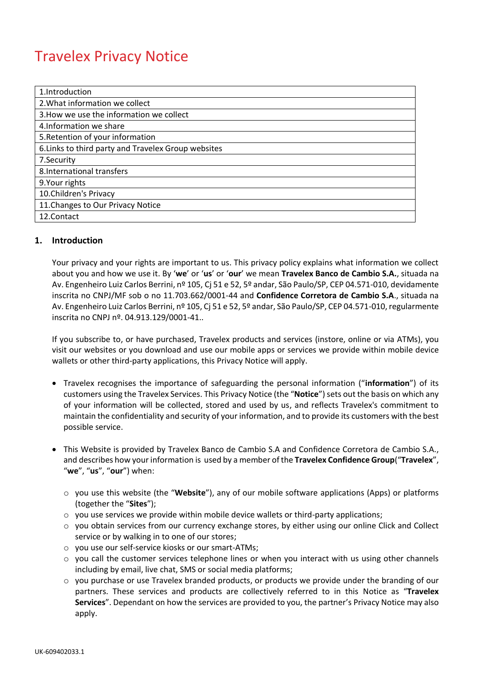# Travelex Privacy Notice

| 1.Introduction                                      |
|-----------------------------------------------------|
| 2. What information we collect                      |
| 3. How we use the information we collect            |
| 4. Information we share                             |
| 5. Retention of your information                    |
| 6. Links to third party and Travelex Group websites |
| 7. Security                                         |
| 8. International transfers                          |
| 9. Your rights                                      |
| 10. Children's Privacy                              |
| 11. Changes to Our Privacy Notice                   |
| 12.Contact                                          |

# **1. Introduction**

Your privacy and your rights are important to us. This privacy policy explains what information we collect about you and how we use it. By '**we**' or '**us**' or '**our**' we mean **Travelex Banco de Cambio S.A.**, situada na Av. Engenheiro Luiz Carlos Berrini, nº 105, Cj 51 e 52, 5º andar, São Paulo/SP, CEP 04.571-010, devidamente inscrita no CNPJ/MF sob o no 11.703.662/0001-44 and **Confidence Corretora de Cambio S.A**., situada na Av. Engenheiro Luiz Carlos Berrini, nº 105, Cj 51 e 52, 5º andar, São Paulo/SP, CEP 04.571-010, regularmente inscrita no CNPJ nº. 04.913.129/0001-41..

If you subscribe to, or have purchased, Travelex products and services (instore, online or via ATMs), you visit our websites or you download and use our mobile apps or services we provide within mobile device wallets or other third-party applications, this Privacy Notice will apply.

- Travelex recognises the importance of safeguarding the personal information ("**information**") of its customers using the Travelex Services. This Privacy Notice (the "**Notice**") sets out the basis on which any of your information will be collected, stored and used by us, and reflects Travelex's commitment to maintain the confidentiality and security of your information, and to provide its customers with the best possible service.
- This Website is provided by Travelex Banco de Cambio S.A and Confidence Corretora de Cambio S.A., and describes how your information is used by a member of the **Travelex Confidence Group**("**Travelex**", "**we**", "**us**", "**our**") when:
	- o you use this website (the "**Website**"), any of our mobile software applications (Apps) or platforms (together the "**Sites**");
	- $\circ$  you use services we provide within mobile device wallets or third-party applications;
	- $\circ$  you obtain services from our currency exchange stores, by either using our online Click and Collect service or by walking in to one of our stores;
	- o you use our self-service kiosks or our smart-ATMs;
	- o you call the customer services telephone lines or when you interact with us using other channels including by email, live chat, SMS or social media platforms;
	- $\circ$  you purchase or use Travelex branded products, or products we provide under the branding of our partners. These services and products are collectively referred to in this Notice as "**Travelex Services**". Dependant on how the services are provided to you, the partner's Privacy Notice may also apply.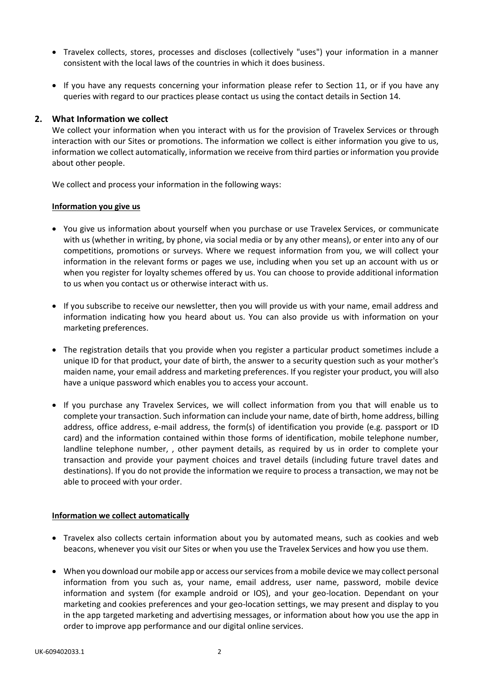- Travelex collects, stores, processes and discloses (collectively "uses") your information in a manner consistent with the local laws of the countries in which it does business.
- If you have any requests concerning your information please refer to Section 11, or if you have any queries with regard to our practices please contact us using the contact details in Section 14.

# **2. What Information we collect**

We collect your information when you interact with us for the provision of Travelex Services or through interaction with our Sites or promotions. The information we collect is either information you give to us, information we collect automatically, information we receive from third parties or information you provide about other people.

We collect and process your information in the following ways:

#### **Information you give us**

- You give us information about yourself when you purchase or use Travelex Services, or communicate with us (whether in writing, by phone, via social media or by any other means), or enter into any of our competitions, promotions or surveys. Where we request information from you, we will collect your information in the relevant forms or pages we use, including when you set up an account with us or when you register for loyalty schemes offered by us. You can choose to provide additional information to us when you contact us or otherwise interact with us.
- If you subscribe to receive our newsletter, then you will provide us with your name, email address and information indicating how you heard about us. You can also provide us with information on your marketing preferences.
- The registration details that you provide when you register a particular product sometimes include a unique ID for that product, your date of birth, the answer to a security question such as your mother's maiden name, your email address and marketing preferences. If you register your product, you will also have a unique password which enables you to access your account.
- If you purchase any Travelex Services, we will collect information from you that will enable us to complete your transaction. Such information can include your name, date of birth, home address, billing address, office address, e-mail address, the form(s) of identification you provide (e.g. passport or ID card) and the information contained within those forms of identification, mobile telephone number, landline telephone number, , other payment details, as required by us in order to complete your transaction and provide your payment choices and travel details (including future travel dates and destinations). If you do not provide the information we require to process a transaction, we may not be able to proceed with your order.

#### **Information we collect automatically**

- Travelex also collects certain information about you by automated means, such as cookies and web beacons, whenever you visit our Sites or when you use the Travelex Services and how you use them.
- When you download our mobile app or access our services from a mobile device we may collect personal information from you such as, your name, email address, user name, password, mobile device information and system (for example android or IOS), and your geo-location. Dependant on your marketing and cookies preferences and your geo-location settings, we may present and display to you in the app targeted marketing and advertising messages, or information about how you use the app in order to improve app performance and our digital online services.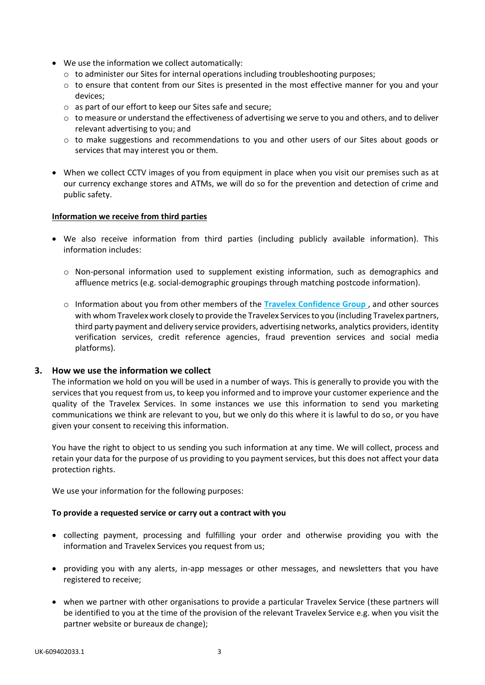- We use the information we collect automatically:
	- $\circ$  to administer our Sites for internal operations including troubleshooting purposes;
	- $\circ$  to ensure that content from our Sites is presented in the most effective manner for you and your devices;
	- o as part of our effort to keep our Sites safe and secure;
	- $\circ$  to measure or understand the effectiveness of advertising we serve to you and others, and to deliver relevant advertising to you; and
	- o to make suggestions and recommendations to you and other users of our Sites about goods or services that may interest you or them.
- When we collect CCTV images of you from equipment in place when you visit our premises such as at our currency exchange stores and ATMs, we will do so for the prevention and detection of crime and public safety.

#### **Information we receive from third parties**

- We also receive information from third parties (including publicly available information). This information includes:
	- o Non-personal information used to supplement existing information, such as demographics and affluence metrics (e.g. social-demographic groupings through matching postcode information).
	- o Information about you from other members of the **[Travelex Confidence Group](https://www.travelex.co.uk/travelex-group-companies)** , and other sources with whom Travelex work closely to provide the Travelex Services to you (including Travelex partners, third party payment and delivery service providers, advertising networks, analytics providers, identity verification services, credit reference agencies, fraud prevention services and social media platforms).

#### **3. How we use the information we collect**

The information we hold on you will be used in a number of ways. This is generally to provide you with the services that you request from us, to keep you informed and to improve your customer experience and the quality of the Travelex Services. In some instances we use this information to send you marketing communications we think are relevant to you, but we only do this where it is lawful to do so, or you have given your consent to receiving this information.

You have the right to object to us sending you such information at any time. We will collect, process and retain your data for the purpose of us providing to you payment services, but this does not affect your data protection rights.

We use your information for the following purposes:

#### **To provide a requested service or carry out a contract with you**

- collecting payment, processing and fulfilling your order and otherwise providing you with the information and Travelex Services you request from us;
- providing you with any alerts, in-app messages or other messages, and newsletters that you have registered to receive;
- when we partner with other organisations to provide a particular Travelex Service (these partners will be identified to you at the time of the provision of the relevant Travelex Service e.g. when you visit the partner website or bureaux de change);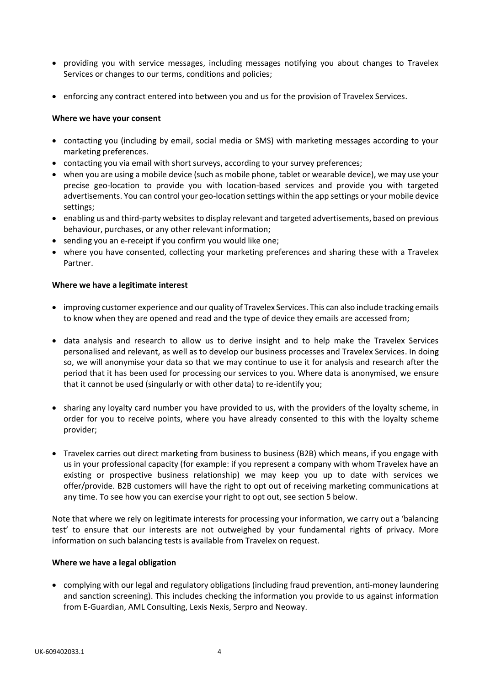- providing you with service messages, including messages notifying you about changes to Travelex Services or changes to our terms, conditions and policies;
- enforcing any contract entered into between you and us for the provision of Travelex Services.

#### **Where we have your consent**

- contacting you (including by email, social media or SMS) with marketing messages according to your marketing preferences.
- contacting you via email with short surveys, according to your survey preferences;
- when you are using a mobile device (such as mobile phone, tablet or wearable device), we may use your precise geo-location to provide you with location-based services and provide you with targeted advertisements. You can control your geo-location settings within the app settings or your mobile device settings;
- enabling us and third-party websites to display relevant and targeted advertisements, based on previous behaviour, purchases, or any other relevant information;
- sending you an e-receipt if you confirm you would like one;
- where you have consented, collecting your marketing preferences and sharing these with a Travelex Partner.

#### **Where we have a legitimate interest**

- improving customer experience and our quality of Travelex Services. This can also include tracking emails to know when they are opened and read and the type of device they emails are accessed from;
- data analysis and research to allow us to derive insight and to help make the Travelex Services personalised and relevant, as well as to develop our business processes and Travelex Services. In doing so, we will anonymise your data so that we may continue to use it for analysis and research after the period that it has been used for processing our services to you. Where data is anonymised, we ensure that it cannot be used (singularly or with other data) to re-identify you;
- sharing any loyalty card number you have provided to us, with the providers of the loyalty scheme, in order for you to receive points, where you have already consented to this with the loyalty scheme provider;
- Travelex carries out direct marketing from business to business (B2B) which means, if you engage with us in your professional capacity (for example: if you represent a company with whom Travelex have an existing or prospective business relationship) we may keep you up to date with services we offer/provide. B2B customers will have the right to opt out of receiving marketing communications at any time. To see how you can exercise your right to opt out, see section 5 below.

Note that where we rely on legitimate interests for processing your information, we carry out a 'balancing test' to ensure that our interests are not outweighed by your fundamental rights of privacy. More information on such balancing tests is available from Travelex on request.

#### **Where we have a legal obligation**

 complying with our legal and regulatory obligations (including fraud prevention, anti-money laundering and sanction screening). This includes checking the information you provide to us against information from E-Guardian, AML Consulting, Lexis Nexis, Serpro and Neoway.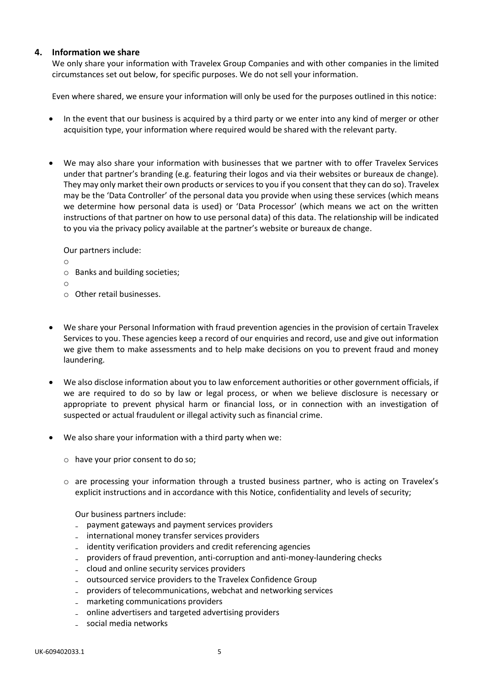# **4. Information we share**

We only share your information with Travelex Group Companies and with other companies in the limited circumstances set out below, for specific purposes. We do not sell your information.

Even where shared, we ensure your information will only be used for the purposes outlined in this notice:

- In the event that our business is acquired by a third party or we enter into any kind of merger or other acquisition type, your information where required would be shared with the relevant party.
- We may also share your information with businesses that we partner with to offer Travelex Services under that partner's branding (e.g. featuring their logos and via their websites or bureaux de change). They may only market their own products or services to you if you consent that they can do so). Travelex may be the 'Data Controller' of the personal data you provide when using these services (which means we determine how personal data is used) or 'Data Processor' (which means we act on the written instructions of that partner on how to use personal data) of this data. The relationship will be indicated to you via the privacy policy available at the partner's website or bureaux de change.

Our partners include:

- o
- o Banks and building societies;
- o
- o Other retail businesses.
- We share your Personal Information with fraud prevention agencies in the provision of certain Travelex Services to you. These agencies keep a record of our enquiries and record, use and give out information we give them to make assessments and to help make decisions on you to prevent fraud and money laundering.
- We also disclose information about you to law enforcement authorities or other government officials, if we are required to do so by law or legal process, or when we believe disclosure is necessary or appropriate to prevent physical harm or financial loss, or in connection with an investigation of suspected or actual fraudulent or illegal activity such as financial crime.
- We also share your information with a third party when we:
	- o have your prior consent to do so;
	- o are processing your information through a trusted business partner, who is acting on Travelex's explicit instructions and in accordance with this Notice, confidentiality and levels of security;

Our business partners include:

- ₋ payment gateways and payment services providers
- ₋ international money transfer services providers
- identity verification providers and credit referencing agencies
- ₋ providers of fraud prevention, anti-corruption and anti-money-laundering checks
- ₋ cloud and online security services providers
- ₋ outsourced service providers to the Travelex Confidence Group
- ₋ providers of telecommunications, webchat and networking services
- ₋ marketing communications providers
- ₋ online advertisers and targeted advertising providers
- ₋ social media networks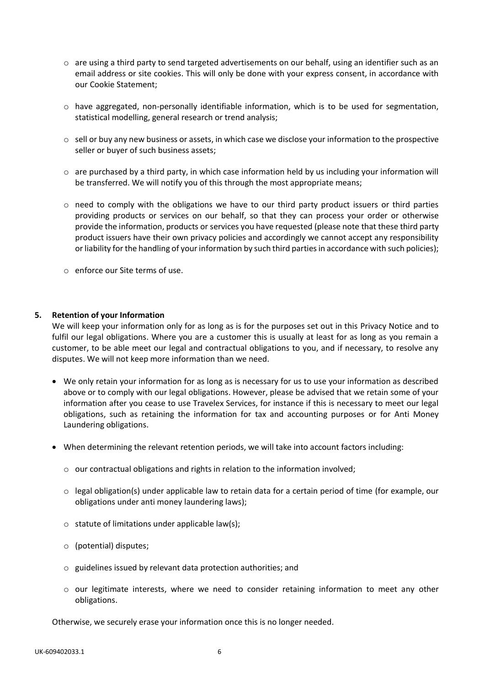- $\circ$  are using a third party to send targeted advertisements on our behalf, using an identifier such as an email address or site cookies. This will only be done with your express consent, in accordance with our Cookie Statement;
- $\circ$  have aggregated, non-personally identifiable information, which is to be used for segmentation, statistical modelling, general research or trend analysis;
- $\circ$  sell or buy any new business or assets, in which case we disclose your information to the prospective seller or buyer of such business assets;
- $\circ$  are purchased by a third party, in which case information held by us including your information will be transferred. We will notify you of this through the most appropriate means;
- $\circ$  need to comply with the obligations we have to our third party product issuers or third parties providing products or services on our behalf, so that they can process your order or otherwise provide the information, products or services you have requested (please note that these third party product issuers have their own privacy policies and accordingly we cannot accept any responsibility or liability for the handling of your information by such third parties in accordance with such policies);
- o enforce our Site terms of use.

# **5. Retention of your Information**

We will keep your information only for as long as is for the purposes set out in this Privacy Notice and to fulfil our legal obligations. Where you are a customer this is usually at least for as long as you remain a customer, to be able meet our legal and contractual obligations to you, and if necessary, to resolve any disputes. We will not keep more information than we need.

- We only retain your information for as long as is necessary for us to use your information as described above or to comply with our legal obligations. However, please be advised that we retain some of your information after you cease to use Travelex Services, for instance if this is necessary to meet our legal obligations, such as retaining the information for tax and accounting purposes or for Anti Money Laundering obligations.
- When determining the relevant retention periods, we will take into account factors including:
	- $\circ$  our contractual obligations and rights in relation to the information involved;
	- o legal obligation(s) under applicable law to retain data for a certain period of time (for example, our obligations under anti money laundering laws);
	- $\circ$  statute of limitations under applicable law(s);
	- o (potential) disputes;
	- o guidelines issued by relevant data protection authorities; and
	- $\circ$  our legitimate interests, where we need to consider retaining information to meet any other obligations.

Otherwise, we securely erase your information once this is no longer needed.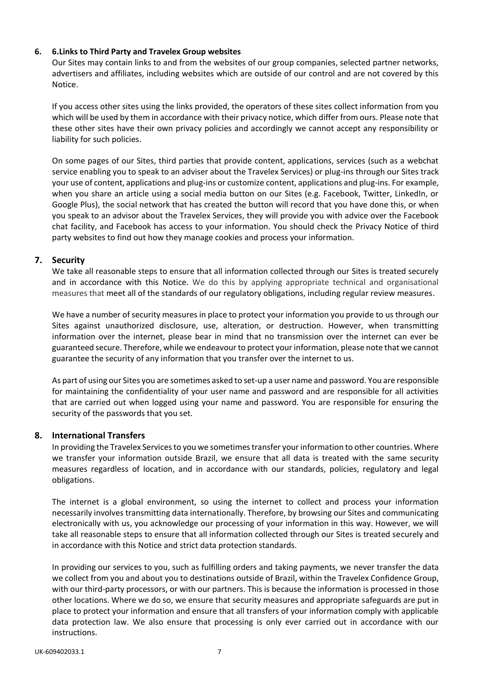# **6. 6.Links to Third Party and Travelex Group websites**

Our Sites may contain links to and from the websites of our group companies, selected partner networks, advertisers and affiliates, including websites which are outside of our control and are not covered by this Notice.

If you access other sites using the links provided, the operators of these sites collect information from you which will be used by them in accordance with their privacy notice, which differ from ours. Please note that these other sites have their own privacy policies and accordingly we cannot accept any responsibility or liability for such policies.

On some pages of our Sites, third parties that provide content, applications, services (such as a webchat service enabling you to speak to an adviser about the Travelex Services) or plug-ins through our Sites track your use of content, applications and plug-ins or customize content, applications and plug-ins. For example, when you share an article using a social media button on our Sites (e.g. Facebook, Twitter, LinkedIn, or Google Plus), the social network that has created the button will record that you have done this, or when you speak to an advisor about the Travelex Services, they will provide you with advice over the Facebook chat facility, and Facebook has access to your information. You should check the Privacy Notice of third party websites to find out how they manage cookies and process your information.

# **7. Security**

We take all reasonable steps to ensure that all information collected through our Sites is treated securely and in accordance with this Notice. We do this by applying appropriate technical and organisational measures that meet all of the standards of our regulatory obligations, including regular review measures.

We have a number of security measures in place to protect your information you provide to us through our Sites against unauthorized disclosure, use, alteration, or destruction. However, when transmitting information over the internet, please bear in mind that no transmission over the internet can ever be guaranteed secure. Therefore, while we endeavour to protect your information, please note that we cannot guarantee the security of any information that you transfer over the internet to us.

As part of using our Sites you are sometimes asked to set-up a user name and password. You are responsible for maintaining the confidentiality of your user name and password and are responsible for all activities that are carried out when logged using your name and password. You are responsible for ensuring the security of the passwords that you set.

# **8. International Transfers**

In providing the Travelex Services to you we sometimes transfer your information to other countries. Where we transfer your information outside Brazil, we ensure that all data is treated with the same security measures regardless of location, and in accordance with our standards, policies, regulatory and legal obligations.

The internet is a global environment, so using the internet to collect and process your information necessarily involves transmitting data internationally. Therefore, by browsing our Sites and communicating electronically with us, you acknowledge our processing of your information in this way. However, we will take all reasonable steps to ensure that all information collected through our Sites is treated securely and in accordance with this Notice and strict data protection standards.

In providing our services to you, such as fulfilling orders and taking payments, we never transfer the data we collect from you and about you to destinations outside of Brazil, within the Travelex Confidence Group, with our third-party processors, or with our partners. This is because the information is processed in those other locations. Where we do so, we ensure that security measures and appropriate safeguards are put in place to protect your information and ensure that all transfers of your information comply with applicable data protection law. We also ensure that processing is only ever carried out in accordance with our instructions.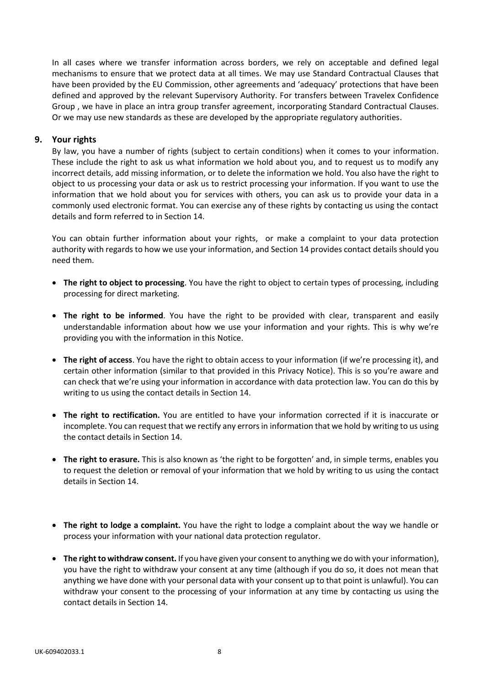In all cases where we transfer information across borders, we rely on acceptable and defined legal mechanisms to ensure that we protect data at all times. We may use Standard Contractual Clauses that have been provided by the EU Commission, other agreements and 'adequacy' protections that have been defined and approved by the relevant Supervisory Authority. For transfers between Travelex Confidence Group , we have in place an intra group transfer agreement, incorporating Standard Contractual Clauses. Or we may use new standards as these are developed by the appropriate regulatory authorities.

# **9. Your rights**

By law, you have a number of rights (subject to certain conditions) when it comes to your information. These include the right to ask us what information we hold about you, and to request us to modify any incorrect details, add missing information, or to delete the information we hold. You also have the right to object to us processing your data or ask us to restrict processing your information. If you want to use the information that we hold about you for services with others, you can ask us to provide your data in a commonly used electronic format. You can exercise any of these rights by contacting us using the contact details and form referred to in Section 14.

You can obtain further information about your rights, or make a complaint to your data protection authority with regards to how we use your information, and Section 14 provides contact details should you need them.

- **The right to object to processing**. You have the right to object to certain types of processing, including processing for direct marketing.
- **The right to be informed**. You have the right to be provided with clear, transparent and easily understandable information about how we use your information and your rights. This is why we're providing you with the information in this Notice.
- **The right of access**. You have the right to obtain access to your information (if we're processing it), and certain other information (similar to that provided in this Privacy Notice). This is so you're aware and can check that we're using your information in accordance with data protection law. You can do this by writing to us using the contact details in Section 14.
- **The right to rectification.** You are entitled to have your information corrected if it is inaccurate or incomplete. You can request that we rectify any errors in information that we hold by writing to us using the contact details in Section 14.
- **The right to erasure.** This is also known as 'the right to be forgotten' and, in simple terms, enables you to request the deletion or removal of your information that we hold by writing to us using the contact details in Section 14.
- **The right to lodge a complaint.** You have the right to lodge a complaint about the way we handle or process your information with your national data protection regulator.
- **The right to withdraw consent.** If you have given your consent to anything we do with your information), you have the right to withdraw your consent at any time (although if you do so, it does not mean that anything we have done with your personal data with your consent up to that point is unlawful). You can withdraw your consent to the processing of your information at any time by contacting us using the contact details in Section 14.